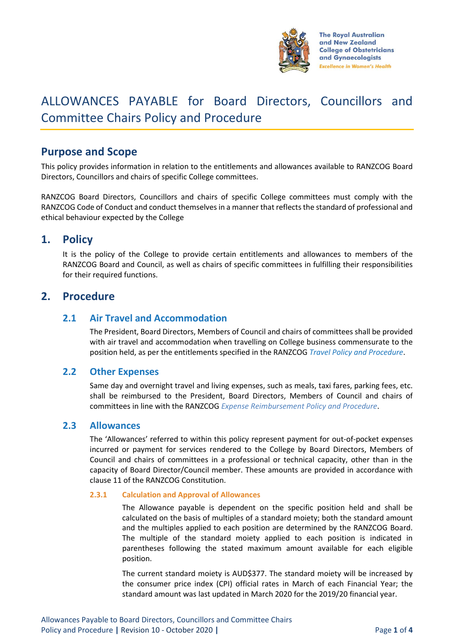

# ALLOWANCES PAYABLE for Board Directors, Councillors and Committee Chairs Policy and Procedure

# **Purpose and Scope**

This policy provides information in relation to the entitlements and allowances available to RANZCOG Board Directors, Councillors and chairs of specific College committees.

RANZCOG Board Directors, Councillors and chairs of specific College committees must comply with the RANZCOG Code of Conduct and conduct themselves in a manner that reflects the standard of professional and ethical behaviour expected by the College

# **1. Policy**

It is the policy of the College to provide certain entitlements and allowances to members of the RANZCOG Board and Council, as well as chairs of specific committees in fulfilling their responsibilities for their required functions.

# **2. Procedure**

### **2.1 Air Travel and Accommodation**

The President, Board Directors, Members of Council and chairs of committees shall be provided with air travel and accommodation when travelling on College business commensurate to the position held, as per the entitlements specified in the RANZCOG *Travel Policy and Procedure*.

### **2.2 Other Expenses**

Same day and overnight travel and living expenses, such as meals, taxi fares, parking fees, etc. shall be reimbursed to the President, Board Directors, Members of Council and chairs of committees in line with the RANZCOG *Expense Reimbursement Policy and Procedure*.

### **2.3 Allowances**

The 'Allowances' referred to within this policy represent payment for out-of-pocket expenses incurred or payment for services rendered to the College by Board Directors, Members of Council and chairs of committees in a professional or technical capacity, other than in the capacity of Board Director/Council member. These amounts are provided in accordance with clause 11 of the RANZCOG Constitution.

#### **2.3.1 Calculation and Approval of Allowances**

The Allowance payable is dependent on the specific position held and shall be calculated on the basis of multiples of a standard moiety; both the standard amount and the multiples applied to each position are determined by the RANZCOG Board. The multiple of the standard moiety applied to each position is indicated in parentheses following the stated maximum amount available for each eligible position.

The current standard moiety is AUD\$377. The standard moiety will be increased by the consumer price index (CPI) official rates in March of each Financial Year; the standard amount was last updated in March 2020 for the 2019/20 financial year.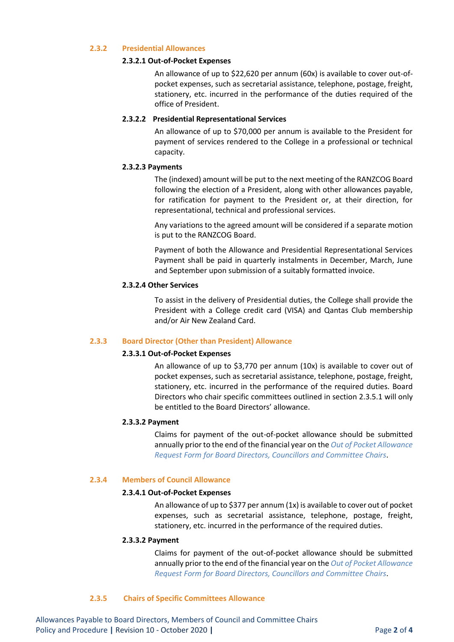#### **2.3.2 Presidential Allowances**

#### **2.3.2.1 Out-of-Pocket Expenses**

An allowance of up to \$22,620 per annum (60x) is available to cover out-ofpocket expenses, such as secretarial assistance, telephone, postage, freight, stationery, etc. incurred in the performance of the duties required of the office of President.

#### **2.3.2.2 Presidential Representational Services**

An allowance of up to \$70,000 per annum is available to the President for payment of services rendered to the College in a professional or technical capacity.

#### **2.3.2.3 Payments**

The (indexed) amount will be put to the next meeting of the RANZCOG Board following the election of a President, along with other allowances payable, for ratification for payment to the President or, at their direction, for representational, technical and professional services.

Any variations to the agreed amount will be considered if a separate motion is put to the RANZCOG Board.

Payment of both the Allowance and Presidential Representational Services Payment shall be paid in quarterly instalments in December, March, June and September upon submission of a suitably formatted invoice.

#### **2.3.2.4 Other Services**

To assist in the delivery of Presidential duties, the College shall provide the President with a College credit card (VISA) and Qantas Club membership and/or Air New Zealand Card.

#### **2.3.3 Board Director (Other than President) Allowance**

#### **2.3.3.1 Out-of-Pocket Expenses**

An allowance of up to \$3,770 per annum (10x) is available to cover out of pocket expenses, such as secretarial assistance, telephone, postage, freight, stationery, etc. incurred in the performance of the required duties. Board Directors who chair specific committees outlined in section 2.3.5.1 will only be entitled to the Board Directors' allowance.

#### **2.3.3.2 Payment**

Claims for payment of the out-of-pocket allowance should be submitted annually prior to the end of the financial year on the *Out of Pocket Allowance Request Form for Board Directors, Councillors and Committee Chairs*.

#### **2.3.4 Members of Council Allowance**

#### **2.3.4.1 Out-of-Pocket Expenses**

An allowance of up to \$377 per annum (1x) is available to cover out of pocket expenses, such as secretarial assistance, telephone, postage, freight, stationery, etc. incurred in the performance of the required duties.

#### **2.3.3.2 Payment**

Claims for payment of the out-of-pocket allowance should be submitted annually prior to the end of the financial year on the *Out of Pocket Allowance Request Form for Board Directors, Councillors and Committee Chairs*.

#### **2.3.5 Chairs of Specific Committees Allowance**

Allowances Payable to Board Directors, Members of Council and Committee Chairs Policy and Procedure **|** Revision 10 - October 2020 **|** Page **2** of **4**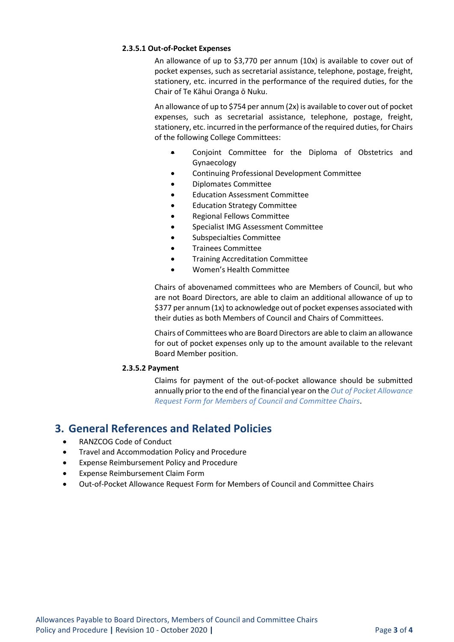#### **2.3.5.1 Out-of-Pocket Expenses**

An allowance of up to \$3,770 per annum (10x) is available to cover out of pocket expenses, such as secretarial assistance, telephone, postage, freight, stationery, etc. incurred in the performance of the required duties, for the Chair of Te Kāhui Oranga ō Nuku.

An allowance of up to \$754 per annum (2x) is available to cover out of pocket expenses, such as secretarial assistance, telephone, postage, freight, stationery, etc. incurred in the performance of the required duties, for Chairs of the following College Committees:

- Conjoint Committee for the Diploma of Obstetrics and Gynaecology
- Continuing Professional Development Committee
- Diplomates Committee
- Education Assessment Committee
- Education Strategy Committee
- Regional Fellows Committee
- Specialist IMG Assessment Committee
- Subspecialties Committee
- Trainees Committee
- Training Accreditation Committee
- Women's Health Committee

Chairs of abovenamed committees who are Members of Council, but who are not Board Directors, are able to claim an additional allowance of up to \$377 per annum (1x) to acknowledge out of pocket expenses associated with their duties as both Members of Council and Chairs of Committees.

Chairs of Committees who are Board Directors are able to claim an allowance for out of pocket expenses only up to the amount available to the relevant Board Member position.

### **2.3.5.2 Payment**

Claims for payment of the out-of-pocket allowance should be submitted annually prior to the end of the financial year on the *Out of Pocket Allowance Request Form for Members of Council and Committee Chairs*.

# **3. General References and Related Policies**

- RANZCOG Code of Conduct
- Travel and Accommodation Policy and Procedure
- Expense Reimbursement Policy and Procedure
- Expense Reimbursement Claim Form
- Out-of-Pocket Allowance Request Form for Members of Council and Committee Chairs